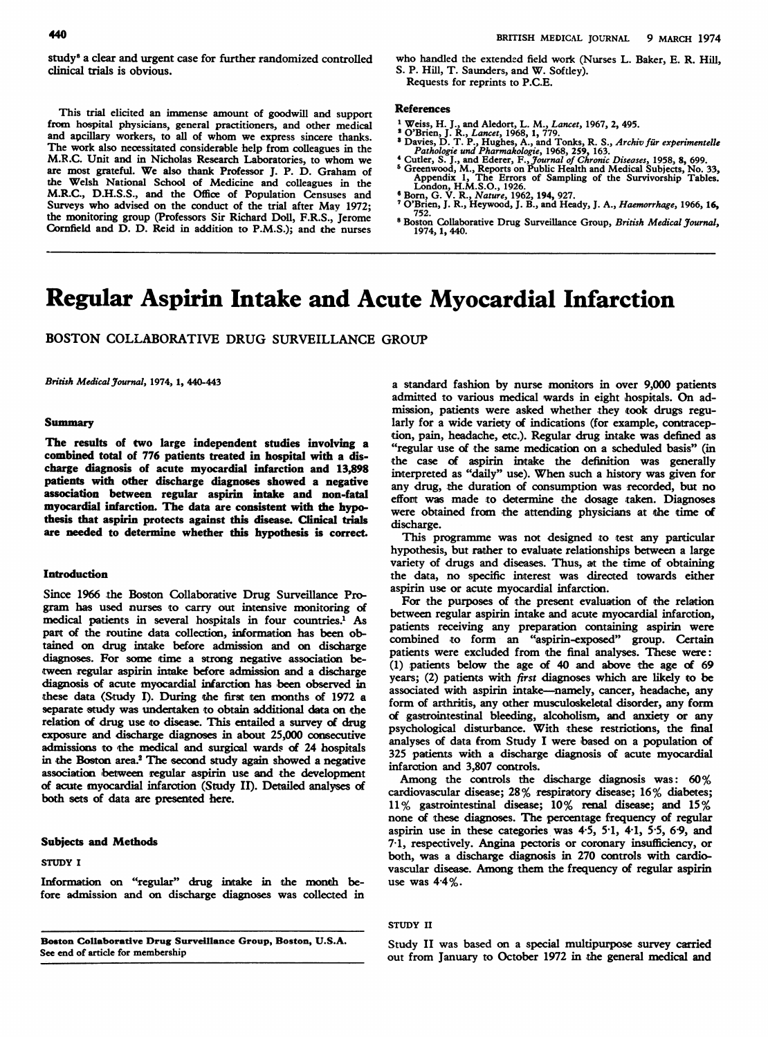study<sup>8</sup> a clear and urgent case for further randomized controlled clinical trials is obvious.

This trial elicited an inmense amount of goodwill and support from hospital physicians, general practitioners, and other medical and apcillary workers, to all of whom we express sincere thanks. The work also necessitated considerable help from colleagues in the M.R.C. Unit and in Nicholas Research Laboratories, to whom we are most grateful. We also thank Professor J. P. D. Graham of the Welsh National School of Medicine and colleagues in the M.R.C., D.H.S.S., and the Office of Population Censuses and Surveys who advised on the conduct of the trial after May 1972; the monitoring group (Professors Sir Richard Doll, F.R.S., Jerome Cornfield and D. D. Reid in addition to P.M.S.); and the nurses

who handled the extended field work (Nurses L. Baker, E. R. Hill, S. P. Hill, T. Saunders, and W. Softley). Requests for reprints to P.C.E.

## References

- 
- 
- 
- 
- <sup>1</sup> Weiss, H. J., and Aledort, L. M., Lancet, 1967, 2, 495.<br>
<sup>2</sup> O'Brien, J. R., Lancet, 1968, 1, 779.<br>
<sup>3</sup> Davies, D. T. P., Hughes, A., and Tonks, R. S., Archiv für experimentelle<br>
<sup>2</sup> Davies, D. T. P., Hughes, A., and T
- 
- <sup>8</sup> Boston Collaborative Drug Surveillance Group, British Medical Journal, 1974, 1,440.

# Regular Aspirin Intake and Acute Myocardial Infarction

BOSTON COLLABORATIVE DRUG SURVEILLANCE GROUP

British Medical Journal, 1974, 1, 440-443

## Summary

The results of two large independent studies involving a combined total of 776 patients treated in hospital with a discharge diagnosis of acute myocardial infarction and 13,898 patients with other discharge diagnoses showed a negative association between regular aspirin intake and non-fatal myocardial infarction. The data are consistent with the hypothesis that aspirin protects against this disease. Clinical trials are needed to determine whether this hypothesis is correct.

# **Introduction**

Since 1966 the Boston Collaborative Drug Surveillance Program has used nurses to carry out intensive monitoring of medical patients in several hospitals in four countries.<sup>1</sup> As part of the routine data collection, information has been obtained on drug intake before admission and on discharge diagnoses. For some time a strong negative association between regular aspirin intake before admission and a discharge diagnosis of acute myocardial infarction has been observed in these data (Study I). During the first ten months of 1972 a separate study was undertaken to obtain additional data on the relation of drug use to disease. This entailed a survey of drug exposure and discharge diagnoses in about 25,000 consecutive admissions to the medical and surgical wards of 24 hospitals in the Boston area.<sup>2</sup> The second study again showed a negative association between regular aspirin use and the development of acute myocardial infarction (Study II). Detailed analyses of both sets of data are presented here.

# Subjects and Methods

# STUDY <sup>I</sup>

Information on "regular" drug intake in the month before admission and on discharge diagnoses was collected in

Boston Collaborative Drug Surveillance Group, Boston, U.S.A. See end of article for membership

a standard fashion by nurse monitors in over 9,000 patients admitted to various medical wards in eight hospitals. On admission, patients were asked whether they took drugs regularly for a wide variety of indications (for example, contraception, pain, headache, etc.). Regular drug intake was defined as "regular use of the same medication on a scheduled basis" (in the case of aspirin intake the definition was generally interpreted as "daily" use). When such <sup>a</sup> history was given for any drug, the duration of consumption was recorded, but no effort was made to determine the dosage taken. Diagnoses were obtained from the attending physicians at the time of discharge.

This programme was not designed to test any particular hypothesis, but rather to evaluate relationships between a large variety of drugs and diseases. Thus, at the time of obtaining the data, no specific interest was directed towards either aspirin use or acute myocardial infarction.

For the purposes of the present evaluation of the relation between regular aspirin intake and acute myocardial infarotion, patients receiving any preparation containing aspirin were combined to form an "aspirin-exposed" group. Certain patients were excluded from the final analyses. These were: (1) patients below the age of 40 and above the age of 69 years; (2) patients with first diagnoses which are likely to be associated with aspirin intake—namely, cancer, headache, any form of arthritis, any other musculoskeletal disorder, any form of gastrointestinal bleeding, alcoholism, and anxiety or any psychological disturbance. With these restrictions, the final analyses of data from Study I were based on a population of 325 patients with a discharge diagnosis of acute myocardial infaracion and 3,807 controls.

Among the controls the discharge diagnosis was: 60% cardiovascular disease; 28% respiratory disease; 16% diabetes; 11% gastrointestinal disease; 10% renal disease; and 15% none of these diagnoses. The percentage frequency of regular aspirin use in these categories was  $4.5$ ,  $5.1$ ,  $4.1$ ,  $5.5$ ,  $6.9$ , and 7-1, respectively. Angina pectoris or coronary insufficiency, or both, was a discharge diagnosis in 270 controls with cardiovascular disease. Among them the frequency of regular aspirin use was 4-4%.

STUDY II

Study II was based on a special multipurpose survey carried out from January to October 1972 in the general medical and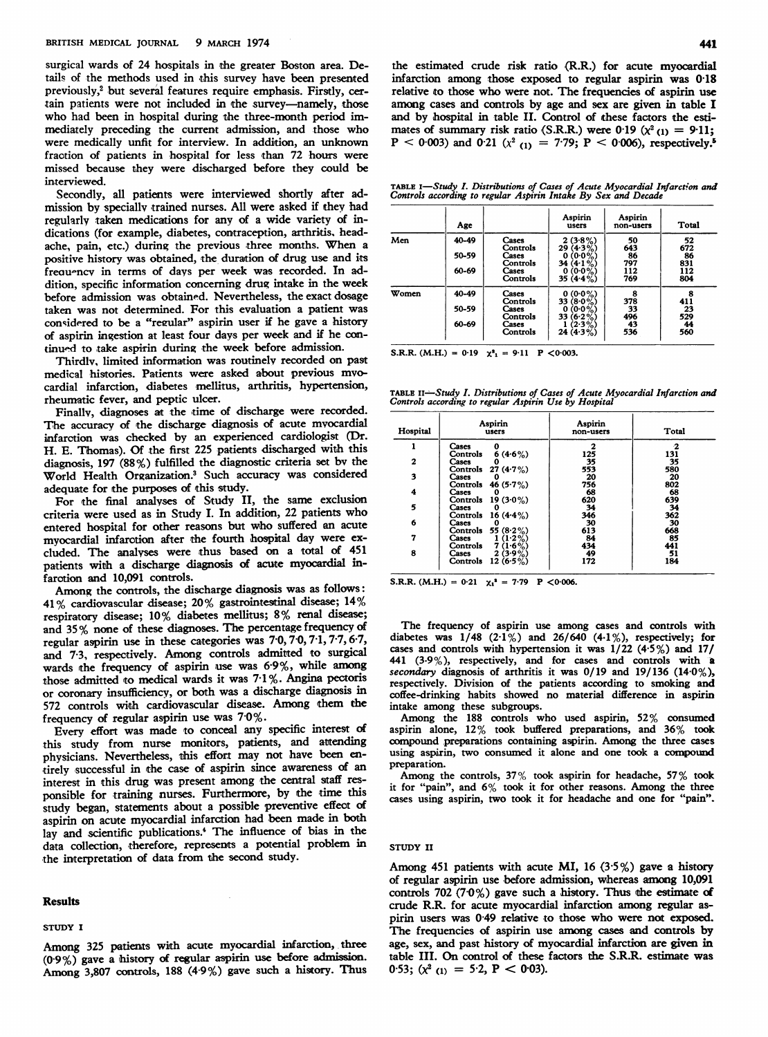surgical wards of 24 hospitals in the greater Boston area. Details of the methods used in this survey have been presented previously,<sup>2</sup> but several features require emphasis. Firstly, certain patients were not included in the survey-namely, those who had been in hospital during the three-month period immediately preceding the current admission, and those who were medically unfit for interview. In addition, an unknown fraction of patients in hospital for less than 72 hours were missed because they were discharged before they could be interviewed.

Secondly, all patients were interviewed shortly after admission by speciallv trained nurses. All were asked if they had regularly taken medications for any of <sup>a</sup> wide variety of indications (for example, diabetes, contraception, arthritis, headache, pain, etc.) during the previous three months. When <sup>a</sup> positive history was obtained, the duration of drug use and its freau-ncv in terms of days per week was recorded. In addition, specific information concerning drug intake in the week before admission was obtained. Nevertheless, the exact dosage taken was not determined. For this evaluation <sup>a</sup> patient was considered to be <sup>a</sup> "reeular" aspirin user if he gave a history of aspirin ingestion at least four days per week and if he continu-d to take aspirin during the week before admission.

Thirdly, limited information was routinely recorded on past medical histories. Patients were asked about previous mvocardial infarction, diabetes mellitus, arthritis, hypertension, rheumatic fever, and peptic ulcer.

Finally, diagnoses at the time of discharge were recorded. The accuracy of the discharge diagnosis of acute myocardial infarction was checked by an experienced cardiologist (Dr. H. E. Thomas). Of the first 225 patients discharged with this diagnosis, 197 (88%) fulfilled the diagnostic criteria set bv the World Health Organization.3 Such accuracy was considered adequate for the purposes of this study.

For the final analyses of Study II, the same exclusion criteria were used as in Study I. In addition, <sup>22</sup> patients who entered hospital for other reasons but who suffered an acute myocardial infarotion after the fourth hospital day were excluded. The analyses were thus based on a total of 451 patients with a discharge diagnosis of acute myocardial infarotion and 10,091 controls.

Among the controls, the discharge diagnosis was as follows: <sup>41</sup> % cardiovascular disease; <sup>20</sup>% gastrointestinal disease; 14% respiratory disease; 10% diabetes mellitus; 8% renal disease; and <sup>35</sup>% none of these diagnoses. The percentage frequency of regular aspirin use in these categories was 7 0, 7-0, 7-1, 7-7, 67, and 7-3, respectively. Among controls admitted to surgical wards the frequency of aspirin use was 6-9%, while among those admitted to medical wards it was 7.1%. Angina pectoris or coronary insufficiency, or both was a discharge diagnosis in 572 controls with cardiovascular disease. Among them the frequency of regular aspirin use was 7 0%.

Every effort was made to conceal any specific interest of this study from nurse monitors, patients, and attending physicians. Nevertheless, this effort may not have been entirely successful in the case of aspirin since awareness of an interest in this drug was present among the central staff responsible for training nurses. Furthermore, by the time this study began, statements about a possible preventive effect of aspirin on acute myocardial infarction had been made in both lay and scientific publications.<sup>4</sup> The influence of bias in the data collection, therefore, represents a potential problem in the interpretation of data from the second study.

#### Results

#### STUDY <sup>I</sup>

Among 325 patients with acute myocardial infarction, three (0-9%) gave a thistory of regular aspirin use before admision. Among 3,807 controls, <sup>188</sup> (49%) gave such <sup>a</sup> history. Thus

the estimated crude risk ratio (R.R.) for acute myocardial infarction among those exposed to regular aspirin was 018 relative to those who were not. The frequencies of aspirin use among cases and controls by age and sex are given in table I and by hospital in table II. Control of these factors the estimates of summary risk ratio (S.R.R.) were 0.19 ( $\chi^2$ <sub>(1)</sub> = 9.11; P < 0.003) and 0.21 ( $\chi^2$  (1) = 7.79; P < 0.006), respectively.<sup>5</sup>

TABLE 1—Study I. Distributions of Cases of Acute Myocardial Infarction and<br>Controls according to regular Aspirin Intake By Sex and Decade

|       | Age   |                   | Aspirin<br>users                  | Aspirin<br>non-users | Total      |
|-------|-------|-------------------|-----------------------------------|----------------------|------------|
| Men   | 40-49 | Cases<br>Controls | $2(3.8\%)$<br>$29(4.3\%)$         | 50<br>643            | 52<br>672  |
|       | 50-59 | Cases<br>Controls | $0(0.0\%)$<br>34 $(4.1\%)$        | 86<br>797            | 86<br>831  |
|       | 60-69 | Cases<br>Controls | $0(0.0\%)$<br>35 $(4.4\%)$        | 112<br>769           | 112<br>804 |
| Women | 40-49 | Cases<br>Controls | $(0.0\%)$<br>0<br>33<br>$(8.0\%)$ | 8<br>378             | 8<br>411   |
|       | 50-59 | Cases<br>Controls | $(0.0\%$<br>0<br>33<br>$(6.2\%)$  | 33<br>496            | 23<br>529  |
|       | 60-69 | Cases<br>Controls | (2.3%)<br>$24(4.3\%)$             | 43<br>536            | 44<br>560  |

S.R.R. (M.H.) =  $0.19 \quad \chi^2 = 9.11 \quad P \leq 0.003$ .

TABLE II—Study I. Distributions of Cases of Acute Myocardial Infarction and<br>Controls according to regular Aspirin Use by Hospital

| Aspirin<br>users    | Aspirin<br>non-users                                                                                                                                                                              | Total                                                |
|---------------------|---------------------------------------------------------------------------------------------------------------------------------------------------------------------------------------------------|------------------------------------------------------|
| Cases<br>0          |                                                                                                                                                                                                   |                                                      |
| Cases<br>0          | 35                                                                                                                                                                                                | 131<br>35<br>580                                     |
| Cases<br>0          | 20                                                                                                                                                                                                | 20                                                   |
| Cases<br>0          | 68                                                                                                                                                                                                | 802<br>68                                            |
| Cases<br>0          | 34                                                                                                                                                                                                | 639<br>34                                            |
| Cases<br>0          | 30                                                                                                                                                                                                | 362<br>30                                            |
| $1(1.2\%)$<br>Cases | 84                                                                                                                                                                                                | 668<br>85                                            |
| $2(3.9\%)$<br>Cases | 49                                                                                                                                                                                                | 441<br>51<br>184                                     |
|                     | $6(4.6\%)$<br>Controls<br>Controls 27 $(4.7%)$<br>Controls $46(5.7\%)$<br>Controls 19 $(3.0\%)$<br>Controls 16 (4.4%)<br>Controls 55 (8.2%)<br>$7(1.6\%)$<br>Controls<br>12 $(6.5\%)$<br>Controls | 125<br>553<br>756<br>620<br>346<br>613<br>434<br>172 |

S.R.R. (M.H.) =  $0.21$   $\chi_1^2 = 7.79$  P < 0.006.

The frequency of aspirin use among cases and controls with diabetes was  $1/48$  (2.1%) and 26/640 (4.1%), respectively; for cases and controls with hypertension it was  $1/22$  (4.5%) and 17/ 441 (3.9%), respectively, and for cases and controls with a secondary diagnosis of arthritis it was 0/19 and 19/136 (14-0%), respectively. Division of the patients according to smoking and coffee-drinking habits showed no material difference in aspirin intake among these subgroups.

Among the <sup>188</sup> controls who used aspirin, 52% consumed aspirin alone, 12% took buffered preparations, and 36% took compound preparations containing aspirin. Among the three cases using aspirin, two consumed it alone and one took <sup>a</sup> compound preparation.

Among the controls, 37% took aspirin for headache, 57% took it for "pain", and 6% took it for other reasons. Among the three cases using aspirin, two took it for headache and one for "pain".

## STUDY II

Among 451 patients with acute MI, 16  $(3.5\%)$  gave a history of regular aspirin use before admission, whereas among 10,091 controls 702 (7 $0\%$ ) gave such a history. Thus the estimate of crude R.R. for acute myocardial infarction among regular aspirin users was 0-49 relative to those who were not exposed. The frequencies of aspirin use among cases and controls by age, sex, and past history of myocardial infarction are given <sup>i</sup> table III. On control of these factors the S.R.R. estimate was 0.53;  $(x^2)_{(1)} = 5.2$ ,  $P < 0.03$ ).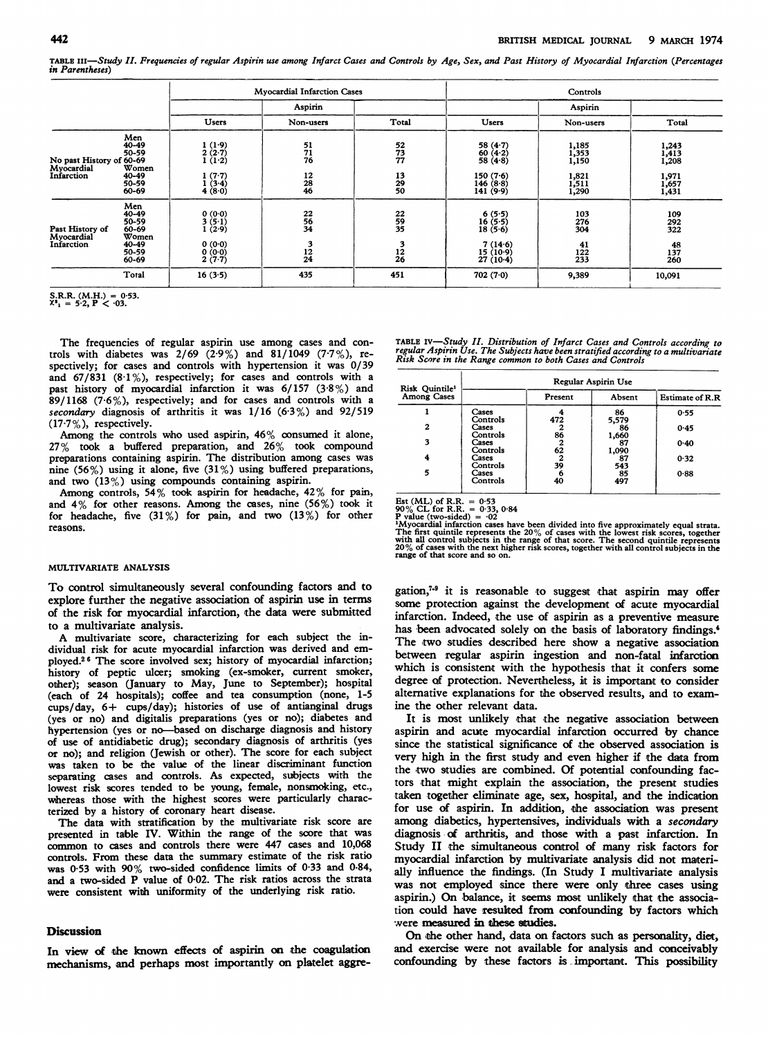TABLE III-Study II. Frequencies of regular Aspirin use among Infarct Cases and Controls by Age, Sex, and Past History of Myocardial Infarction (Percentages in Parentheses)

|                                                                    | <b>Mvocardial Infarction Cases</b>                                                                                           |                                        | Controls                                |                                                                               |                                                    |                                                    |
|--------------------------------------------------------------------|------------------------------------------------------------------------------------------------------------------------------|----------------------------------------|-----------------------------------------|-------------------------------------------------------------------------------|----------------------------------------------------|----------------------------------------------------|
|                                                                    |                                                                                                                              | Aspirin                                |                                         |                                                                               | Aspirin                                            |                                                    |
|                                                                    | Users                                                                                                                        | Non-users                              | Total                                   | <b>Users</b>                                                                  | Non-users                                          | Total                                              |
| Men<br>$40 - 49$<br>50-59<br>40-49<br>50-59<br>60-69               | $\frac{1}{2} \frac{(1 \cdot 9)}{(2 \cdot 7)}$<br>1(1.2)<br>$1(7-7)$<br>$\begin{array}{c} 1 \ (3.4) \\ 4 \ (8.0) \end{array}$ | $\frac{51}{71}$<br>$\frac{12}{28}$     | 52<br>73<br>77<br>$\frac{13}{29}$       | $58(4.7)$<br>$60(4.2)$<br>$58(4.8)$<br>150 $(7.6)$<br>146 $(8.8)$<br>141(9.9) | 1,185<br>1,353<br>1,150<br>1,821<br>1,511<br>1,290 | 1,243<br>1,413<br>1,208<br>1,971<br>1,657<br>1,431 |
| Men<br>40-49<br>50-59<br>60-69<br>Women<br>40-49<br>50-59<br>60-69 | 0(0.0)<br>3(5.1)<br>1(2.9)<br>0(0.0)<br>0(0.0)<br>$2(7-7)$                                                                   | 22<br>56<br>34<br>3<br>$\frac{12}{24}$ | $\frac{22}{59}$<br>3<br>$\frac{12}{26}$ | $6(5.5)$<br>16 $(5.5)$<br>18 $(5.6)$<br>7(14.6)<br>15(10.9)<br>$27(10-4)$     | 103<br>276<br>304<br>41<br>$\frac{122}{233}$       | 109<br>292<br>322<br>$\frac{48}{137}$<br>260       |
| Total                                                              | 16(3.5)                                                                                                                      | 435                                    | 451                                     | 702(7.0)                                                                      | 9,389                                              | 10,091                                             |
|                                                                    | No past History of 60-69<br>Women                                                                                            |                                        |                                         |                                                                               |                                                    |                                                    |

S.R.R. (M.H.) = 0.53.<br> $X^2$ <sub>1</sub> = 5.2, **P** < .03.

The frequencies of regular aspirin use among cases and controls with diabetes was  $2/69$  (2.9%) and 81/1049 (7.7%), respectively; for cases and controls with hypertension it was 0/39 and  $67/831$   $(8.1\%)$ , respectively; for cases and controls with a past history of myocardial infarction it was 6/157 (3-8%) and 89/1168 (7-6%), respectively; and for cases and controls with a secondary diagnosis of arthritis it was  $1/16$  (6.3%) and 92/519  $(17.7\%)$ , respectively.

Among the controls who used aspirin,  $46\%$  consumed it alone, 27% took a buffered preparation, and 26% took compound preparations containing aspirin. The distribution among cases was nine (56%) using it alone, five (31%) using buffered preparations, and two  $(13\%)$  using compounds containing aspirin.

Among controls, 54% took aspirin for headache, 42% for pain, and 4% for other reasons. Among the cases, nine (56%) took it for headache, five  $(31\%)$  for pain, and two  $(13\%)$  for other reasons.

### MULTIVARIATE ANALYSIS

To control simultaneously several confounding factors and to explore further the negative association of aspirin use in terms of the risk for myocardial infarction, the data were submitted to a multivariate analysis.

A multivariate score, characterizing for each subject the individual risk for acute myocardial infarction was derived and employed.26 The score involved sex; history of myocardial infarction; history of peptic ulcer; smoking (ex-smoker, current smoker, other); season (January to May, June to September); hospital (each of 24 hospitals); coffee and tea consumption (none, 1-5 cups/day, 6+ cups/day); histories of use of antianginal drugs (yes or no) and digitalis preparations (yes or no); diabetes and hypertension (yes or no-based on discharge diagnosis and history of use of antidiabetic drug); secondary diagnosis of arthritis (yes or no); and religion (Jewish or other). The score for each subject was taken to be the value of the linear discriminant function separating cases and controls. As expected, subjects with the lowest risk scores tended to be young, female, nonsmoking, etc., whereas those with the highest scores were particularly characterized by a history of coronary heart disease.

The data with stratification by the multivariate risk score are presented in table IV. Within the range of the score that was common to cases and controls there were 447 cases and 10,068 controls. From these data the summary estimate of the risk ratio was 0-53 with 90% two-sided confidence limits of 0 33 and 0-84, and <sup>a</sup> two-sided P value of 0-02. The risk ratios across the strata were consistent with uniformity of the underlying risk ratio.

# **Discussion**

In view of the known effects of aspirin on the coagulation mechanisms, and perhaps most importantly on platelet aggre-

| TABLE IV—Study II. Distribution of Infarct Cases and Controls according to         |  |
|------------------------------------------------------------------------------------|--|
| regular Aspirin Use. The Subjects have been stratified according to a multivariate |  |
| Risk Score in the Range common to both Cases and Controls                          |  |

| Risk Quintile <sup>1</sup> | Regular Aspirin Use |         |             |                        |  |
|----------------------------|---------------------|---------|-------------|------------------------|--|
| <b>Among Cases</b>         |                     | Present | Absent      | <b>Estimate of R.R</b> |  |
|                            | Cases<br>Controls   | 472     | 86<br>5,579 | 0.55                   |  |
| 2                          | Cases<br>Controls   | 86      | 86<br>1,660 | 0.45                   |  |
| 3                          | Cases<br>Controls   | 2<br>62 | 87<br>1,090 | 0.40                   |  |
| 4                          | Cases<br>Controls   | 2<br>39 | 87<br>543   | 0.32                   |  |
| 5                          | Cases<br>Controls   | 6<br>40 | 85<br>497   | 0.88                   |  |

Est (ML) of R.R. = 0 53 90% CL for R.R. = <sup>0</sup> 33, 0-84 P value (two-sided) = \*02

<sup>1</sup>My<br>ocardial infarction cases have been divided into five approximately equal strata.<br>The first quintile represents the 20% of cases with the lowest risk scores, together<br>with all control subjects in the range of that s

gation, $7-9$  it is reasonable to suggest that aspirin may offer some protection against the development of acute myocardial infarction. Indeed, the use of aspirin as a preventive measure has been advocated solely on the basis of laboratory findings.<sup>4</sup> The two studies described here show a negative association between regular aspirin ingestion and non-fatal infarotion which is consistent with the hypothesis that it confers some degree of protection. Nevertheless, it is important to consider alternative explanations for the observed results, and to examine the other relevant data.

It is most unlikely that the negative association between aspirin and acute myocardial infarction occurred by chance since the statistical significance of the observed association is very high in the first study and even higher if the data from the two studies are combined. Of potential confounding factors that might explain the association, the present studies taken together eliminate age, sex, hospital, and the indication for use of aspirin. In addition, the association was present among diabetics, hypertensives, individuals with a secondary diagnosis of arthritis, and those with a past infarction. In Study II the simultaneous control of many risk factors for myocardial infarction by multivariate analysis did not materially influence the findings. (In Study I multivariate analysis was not employed since there were only three cases using aspirin.) On balance, it seems most unlikely that the association could have resuked from confounding by factors which were measured in these studies.

On the other hand, data on factors such as personality, diet, and exercise were not available for analysis and conceivably confounding by these factors is important. This possibility